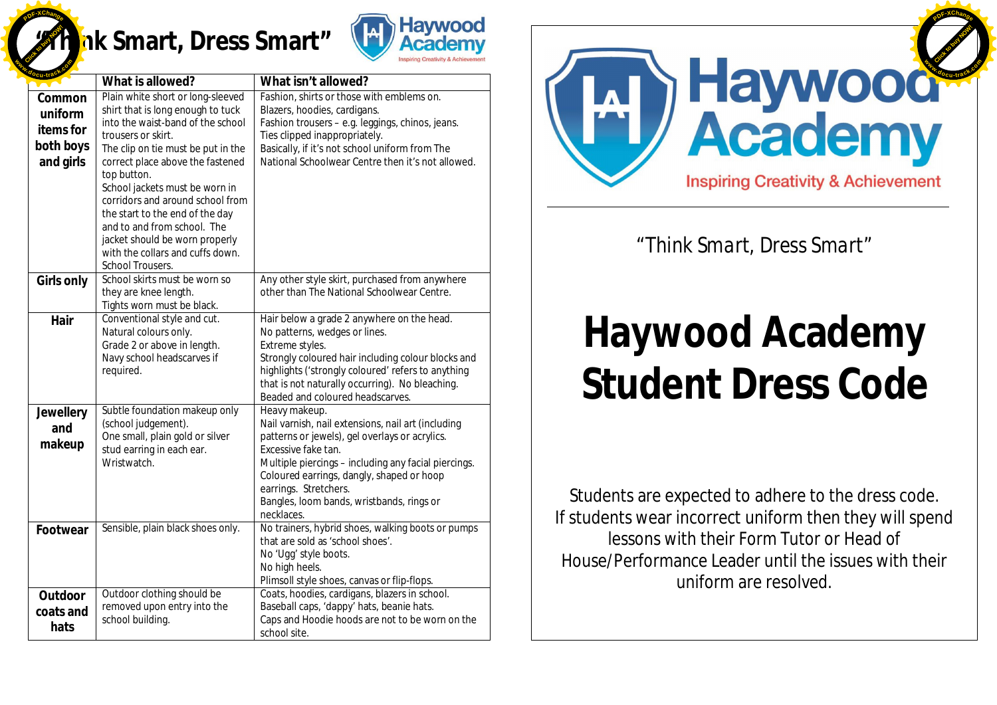## [Click to buy NOW!](http://www.docu-track.com/buy/) **<sup>P</sup>DF-XChang<sup>e</sup> <sup>w</sup>ww.docu-track.co<sup>m</sup>**

## **"Think Smart, Dress Smart"**



|                                                          | What is allowed?                                                                                                                                                                                                                                                                                                                                                                                                                                             | What isn't allowed?                                                                                                                                                                                                                                                                                                                   |
|----------------------------------------------------------|--------------------------------------------------------------------------------------------------------------------------------------------------------------------------------------------------------------------------------------------------------------------------------------------------------------------------------------------------------------------------------------------------------------------------------------------------------------|---------------------------------------------------------------------------------------------------------------------------------------------------------------------------------------------------------------------------------------------------------------------------------------------------------------------------------------|
| Common<br>uniform<br>items for<br>both boys<br>and girls | Plain white short or long-sleeved<br>shirt that is long enough to tuck<br>into the waist-band of the school<br>trousers or skirt.<br>The clip on tie must be put in the<br>correct place above the fastened<br>top button.<br>School jackets must be worn in<br>corridors and around school from<br>the start to the end of the day<br>and to and from school. The<br>jacket should be worn properly<br>with the collars and cuffs down.<br>School Trousers. | Fashion, shirts or those with emblems on.<br>Blazers, hoodies, cardigans.<br>Fashion trousers - e.g. leggings, chinos, jeans.<br>Ties clipped inappropriately.<br>Basically, if it's not school uniform from The<br>National Schoolwear Centre then it's not allowed.                                                                 |
| Girls only                                               | School skirts must be worn so<br>they are knee length.<br>Tights worn must be black.                                                                                                                                                                                                                                                                                                                                                                         | Any other style skirt, purchased from anywhere<br>other than The National Schoolwear Centre.                                                                                                                                                                                                                                          |
| Hair                                                     | Conventional style and cut.<br>Natural colours only.<br>Grade 2 or above in length.<br>Navy school headscarves if<br>required.                                                                                                                                                                                                                                                                                                                               | Hair below a grade 2 anywhere on the head.<br>No patterns, wedges or lines.<br>Extreme styles.<br>Strongly coloured hair including colour blocks and<br>highlights ('strongly coloured' refers to anything<br>that is not naturally occurring). No bleaching.<br>Beaded and coloured headscarves.                                     |
| Jewellery<br>and<br>makeup                               | Subtle foundation makeup only<br>(school judgement).<br>One small, plain gold or silver<br>stud earring in each ear.<br>Wristwatch.                                                                                                                                                                                                                                                                                                                          | Heavy makeup.<br>Nail varnish, nail extensions, nail art (including<br>patterns or jewels), gel overlays or acrylics.<br>Excessive fake tan.<br>Multiple piercings - including any facial piercings.<br>Coloured earrings, dangly, shaped or hoop<br>earrings. Stretchers.<br>Bangles, loom bands, wristbands, rings or<br>necklaces. |
| Footwear                                                 | Sensible, plain black shoes only.                                                                                                                                                                                                                                                                                                                                                                                                                            | No trainers, hybrid shoes, walking boots or pumps<br>that are sold as 'school shoes'.<br>No 'Ugg' style boots.<br>No high heels.<br>Plimsoll style shoes, canvas or flip-flops.                                                                                                                                                       |
| Outdoor<br>coats and<br>hats                             | Outdoor clothing should be<br>removed upon entry into the<br>school building.                                                                                                                                                                                                                                                                                                                                                                                | Coats, hoodies, cardigans, blazers in school.<br>Baseball caps, 'dappy' hats, beanie hats.<br>Caps and Hoodie hoods are not to be worn on the<br>school site.                                                                                                                                                                         |



### *"Think Smart, Dress Smart"*

# **Haywood Academy Student Dress Code**

Students are expected to adhere to the dress code. If students wear incorrect uniform then they will spend lessons with their Form Tutor or Head of House/Performance Leader until the issues with their uniform are resolved.